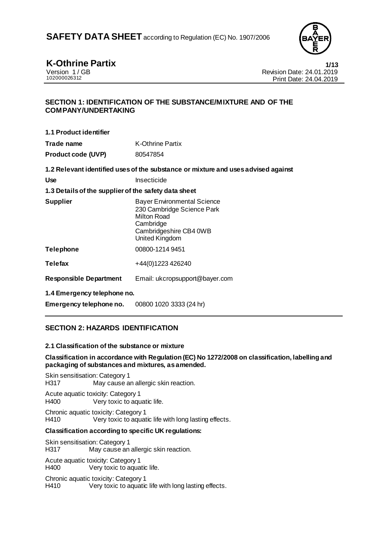

**K-Othrine Partix 1/13** Version 1/GB Revision Date: 24.01.2019<br>102000026312 Print Date: 24.04.2019 Print Date: 24.04.2019

## **SECTION 1: IDENTIFICATION OF THE SUBSTANCE/MIXTURE AND OF THE COMPANY/UNDERTAKING**

**1.1 Product identifier**

**Trade name** K-Othrine Partix **Product code (UVP)** 80547854

**1.2 Relevant identified uses of the substance or mixture and uses advised against**

| Use | Insecticide |
|-----|-------------|
|     |             |

### **1.3 Details of the supplier of the safety data sheet**

| <b>Supplier</b>  | <b>Bayer Environmental Science</b><br>230 Cambridge Science Park<br>Milton Road<br>Cambridge<br>Cambridgeshire CB4 0WB<br><b>United Kingdom</b> |
|------------------|-------------------------------------------------------------------------------------------------------------------------------------------------|
| <b>Telephone</b> | 00800-1214 9451                                                                                                                                 |
|                  |                                                                                                                                                 |

**Telefax** +44(0)1223 426240

**Responsible Department** Email: ukcropsupport@bayer.com

**1.4 Emergency telephone no.**

**Emergency telephone no.** 00800 1020 3333 (24 hr)

# **SECTION 2: HAZARDS IDENTIFICATION**

#### **2.1 Classification of the substance or mixture**

### **Classification in accordance with Regulation (EC) No 1272/2008 on classification, labelling and packaging of substances and mixtures, as amended.**

Skin sensitisation: Category 1 H317 May cause an allergic skin reaction.

Acute aquatic toxicity: Category 1 H400 Very toxic to aquatic life.

Chronic aquatic toxicity: Category 1 H410 Very toxic to aquatic life with long lasting effects.

### **Classification according to specific UK regulations:**

Skin sensitisation: Category 1 H317 May cause an allergic skin reaction.

Acute aquatic toxicity: Category 1 Very toxic to aquatic life.

Chronic aquatic toxicity: Category 1 H410 Very toxic to aquatic life with long lasting effects.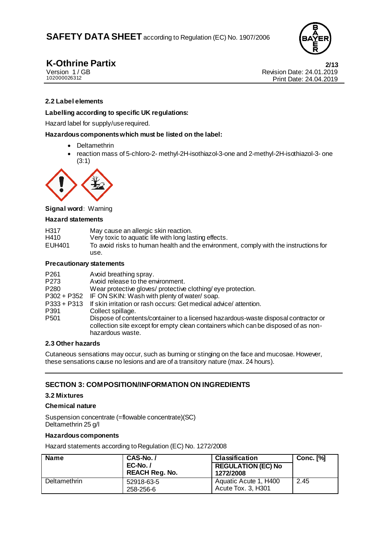

**K-Othrine Partix** 2/13<br>
Version 1/GB<br> **2/13** Revision Date: 24.01.2019 Version 1/GB<br>
102000026312<br>
Print Date: 24.04.2019<br>
Print Date: 24.04.2019 Print Date: 24.04.2019

### **2.2 Label elements**

#### **Labelling according to specific UK regulations:**

Hazard label for supply/use required.

#### **Hazardous components which must be listed on the label:**

- Deltamethrin
- reaction mass of 5-chloro-2- methyl-2H-isothiazol-3-one and 2-methyl-2H-isothiazol-3- one (3:1)



#### **Signal word:** Warning

#### **Hazard statements**

| H317<br>H410<br>EUH401 | May cause an allergic skin reaction.<br>Very toxic to aquatic life with long lasting effects.<br>To avoid risks to human health and the environment, comply with the instructions for<br>use. |
|------------------------|-----------------------------------------------------------------------------------------------------------------------------------------------------------------------------------------------|
|                        |                                                                                                                                                                                               |

#### **Precautionary statements**

| Avoid breathing spray.<br>Avoid release to the environment.<br>Wear protective gloves/ protective clothing/eye protection.<br>P302 + P352 IF ON SKIN: Wash with plenty of water/soap.<br>If skin irritation or rash occurs: Get medical advice/attention.<br>Collect spillage.<br>Dispose of contents/container to a licensed hazardous-waste disposal contractor or<br>collection site except for empty clean containers which can be disposed of as non- |
|------------------------------------------------------------------------------------------------------------------------------------------------------------------------------------------------------------------------------------------------------------------------------------------------------------------------------------------------------------------------------------------------------------------------------------------------------------|
| hazardous waste.                                                                                                                                                                                                                                                                                                                                                                                                                                           |
|                                                                                                                                                                                                                                                                                                                                                                                                                                                            |

#### **2.3 Other hazards**

Cutaneous sensations may occur, such as burning or stinging on the face and mucosae. However, these sensations cause no lesions and are of a transitory nature (max. 24 hours).

### **SECTION 3: COMPOSITION/INFORMATION ON INGREDIENTS**

#### **3.2 Mixtures**

#### **Chemical nature**

Suspension concentrate (=flowable concentrate)(SC) Deltamethrin 25 g/l

#### **Hazardous components**

Hazard statements according to Regulation (EC) No. 1272/2008

| <b>Name</b>  | CAS-No./<br>$EC-No.$ /<br><b>REACH Reg. No.</b> | <b>Classification</b><br><b>REGULATION (EC) No</b><br>1272/2008 | <b>Conc.</b> [%] |
|--------------|-------------------------------------------------|-----------------------------------------------------------------|------------------|
| Deltamethrin | 52918-63-5<br>258-256-6                         | Aquatic Acute 1, H400<br>Acute Tox. 3, H301                     | 2.45             |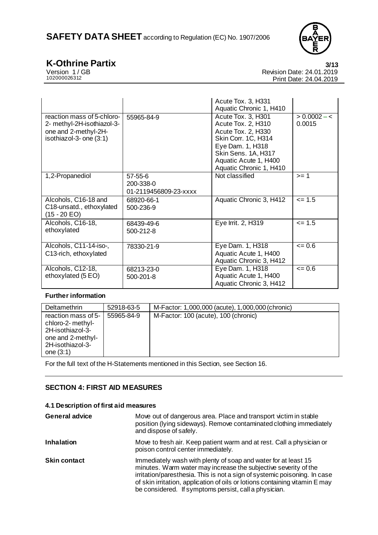

**K-Othrine Partix** 3/13<br>
Version 1/GB Revision Date: 24.01.2019 Version 1/GB Revision Date: 24.01.2019<br>102000026312 Print Date: 24.04.2019 Print Date: 24.04.2019

|                                                                                                             |                                               | Acute Tox. 3, H331<br>Aquatic Chronic 1, H410                                                                                                                                        |                          |
|-------------------------------------------------------------------------------------------------------------|-----------------------------------------------|--------------------------------------------------------------------------------------------------------------------------------------------------------------------------------------|--------------------------|
| reaction mass of 5-chloro-<br>2- methyl-2H-isothiazol-3-<br>one and 2-methyl-2H-<br>isothiazol-3- one (3:1) | 55965-84-9                                    | Acute Tox. 3, H301<br>Acute Tox. 2, H310<br>Acute Tox. 2, H330<br>Skin Corr. 1C, H314<br>Eye Dam. 1, H318<br>Skin Sens. 1A, H317<br>Aquatic Acute 1, H400<br>Aquatic Chronic 1, H410 | $> 0.0002 - 5$<br>0.0015 |
| 1,2-Propanediol                                                                                             | 57-55-6<br>200-338-0<br>01-2119456809-23-xxxx | Not classified                                                                                                                                                                       | $>= 1$                   |
| Alcohols, C16-18 and<br>C18-unsatd., ethoxylated<br>$(15 - 20 EO)$                                          | 68920-66-1<br>500-236-9                       | Aquatic Chronic 3, H412                                                                                                                                                              | $= 1.5$                  |
| Alcohols, C16-18,<br>ethoxylated                                                                            | 68439-49-6<br>500-212-8                       | Eye Irrit. 2, H319                                                                                                                                                                   | $= 1.5$                  |
| Alcohols, C11-14-iso-,<br>C13-rich, ethoxylated                                                             | 78330-21-9                                    | Eye Dam. 1, H318<br>Aquatic Acute 1, H400<br>Aquatic Chronic 3, H412                                                                                                                 | $= 0.6$                  |
| Alcohols, C12-18,<br>ethoxylated (5 EO)                                                                     | 68213-23-0<br>500-201-8                       | Eye Dam. 1, H318<br>Aquatic Acute 1, H400<br>Aquatic Chronic 3, H412                                                                                                                 | $= 0.6$                  |

# **Further information**

| Deltamethrin                                                                                                         | 52918-63-5 | M-Factor: 1,000,000 (acute), 1,000,000 (chronic) |
|----------------------------------------------------------------------------------------------------------------------|------------|--------------------------------------------------|
| reaction mass of 5-<br>chloro-2- methyl-<br>2H-isothiazol-3-<br>one and 2-methyl-<br>2H-isothiazol-3-<br>one $(3:1)$ | 55965-84-9 | M-Factor: 100 (acute), 100 (chronic)             |

For the full text of the H-Statements mentioned in this Section, see Section 16.

# **SECTION 4: FIRST AID MEASURES**

# **4.1 Description of first aid measures**

| <b>General advice</b> | Move out of dangerous area. Place and transport victim in stable<br>position (lying sideways). Remove contaminated clothing immediately<br>and dispose of safely.                                                                                                                                                                                      |
|-----------------------|--------------------------------------------------------------------------------------------------------------------------------------------------------------------------------------------------------------------------------------------------------------------------------------------------------------------------------------------------------|
| <b>Inhalation</b>     | Move to fresh air. Keep patient warm and at rest. Call a physician or<br>poison control center immediately.                                                                                                                                                                                                                                            |
| <b>Skin contact</b>   | Immediately wash with plenty of soap and water for at least 15<br>minutes. Warm water may increase the subjective severity of the<br>irritation/paresthesia. This is not a sign of systemic poisoning. In case<br>of skin irritation, application of oils or lotions containing vitamin E may<br>be considered. If symptoms persist, call a physician. |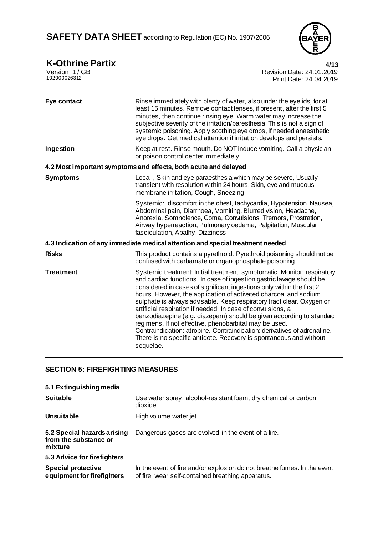

| <b>K-Othrine Partix</b>      | 4/13                                                                                                                                                                                                                                                                                                                                                                                                                                                                                                                                                                                                                                                                                                                                   |
|------------------------------|----------------------------------------------------------------------------------------------------------------------------------------------------------------------------------------------------------------------------------------------------------------------------------------------------------------------------------------------------------------------------------------------------------------------------------------------------------------------------------------------------------------------------------------------------------------------------------------------------------------------------------------------------------------------------------------------------------------------------------------|
| Version 1/GB<br>102000026312 | Revision Date: 24.01.2019<br>Print Date: 24.04.2019                                                                                                                                                                                                                                                                                                                                                                                                                                                                                                                                                                                                                                                                                    |
|                              |                                                                                                                                                                                                                                                                                                                                                                                                                                                                                                                                                                                                                                                                                                                                        |
| Eye contact                  | Rinse immediately with plenty of water, also under the eyelids, for at<br>least 15 minutes. Remove contact lenses, if present, after the first 5<br>minutes, then continue rinsing eye. Warm water may increase the<br>subjective severity of the irritation/paresthesia. This is not a sign of<br>systemic poisoning. Apply soothing eye drops, if needed anaesthetic<br>eye drops. Get medical attention if irritation develops and persists.                                                                                                                                                                                                                                                                                        |
| Ingestion                    | Keep at rest. Rinse mouth. Do NOT induce vomiting. Call a physician<br>or poison control center immediately.                                                                                                                                                                                                                                                                                                                                                                                                                                                                                                                                                                                                                           |
|                              | 4.2 Most important symptoms and effects, both acute and delayed                                                                                                                                                                                                                                                                                                                                                                                                                                                                                                                                                                                                                                                                        |
| <b>Symptoms</b>              | Local:, Skin and eye paraesthesia which may be severe, Usually<br>transient with resolution within 24 hours, Skin, eye and mucous<br>membrane irritation, Cough, Sneezing                                                                                                                                                                                                                                                                                                                                                                                                                                                                                                                                                              |
|                              | Systemic:, discomfort in the chest, tachycardia, Hypotension, Nausea,<br>Abdominal pain, Diarrhoea, Vomiting, Blurred vision, Headache,<br>Anorexia, Somnolence, Coma, Convulsions, Tremors, Prostration,<br>Airway hyperreaction, Pulmonary oedema, Palpitation, Muscular<br>fasciculation, Apathy, Dizziness                                                                                                                                                                                                                                                                                                                                                                                                                         |
|                              | 4.3 Indication of any immediate medical attention and special treatment needed                                                                                                                                                                                                                                                                                                                                                                                                                                                                                                                                                                                                                                                         |
| <b>Risks</b>                 | This product contains a pyrethroid. Pyrethroid poisoning should not be<br>confused with carbamate or organophosphate poisoning.                                                                                                                                                                                                                                                                                                                                                                                                                                                                                                                                                                                                        |
| <b>Treatment</b>             | Systemic treatment: Initial treatment: symptomatic. Monitor: respiratory<br>and cardiac functions. In case of ingestion gastric lavage should be<br>considered in cases of significant ingestions only within the first 2<br>hours. However, the application of activated charcoal and sodium<br>sulphate is always advisable. Keep respiratory tract clear. Oxygen or<br>artificial respiration if needed. In case of convulsions, a<br>benzodiazepine (e.g. diazepam) should be given according to standard<br>regimens. If not effective, phenobarbital may be used.<br>Contraindication: atropine. Contraindication: derivatives of adrenaline.<br>There is no specific antidote. Recovery is spontaneous and without<br>sequelae. |
|                              |                                                                                                                                                                                                                                                                                                                                                                                                                                                                                                                                                                                                                                                                                                                                        |

# **SECTION 5: FIREFIGHTING MEASURES**

| 5.1 Extinguishing media                                         |                                                                                                                               |
|-----------------------------------------------------------------|-------------------------------------------------------------------------------------------------------------------------------|
| <b>Suitable</b>                                                 | Use water spray, alcohol-resistant foam, dry chemical or carbon<br>dioxide.                                                   |
| Unsuitable                                                      | High volume water jet                                                                                                         |
| 5.2 Special hazards arising<br>from the substance or<br>mixture | Dangerous gases are evolved in the event of a fire.                                                                           |
| 5.3 Advice for firefighters                                     |                                                                                                                               |
| <b>Special protective</b><br>equipment for firefighters         | In the event of fire and/or explosion do not breathe fumes. In the event<br>of fire, wear self-contained breathing apparatus. |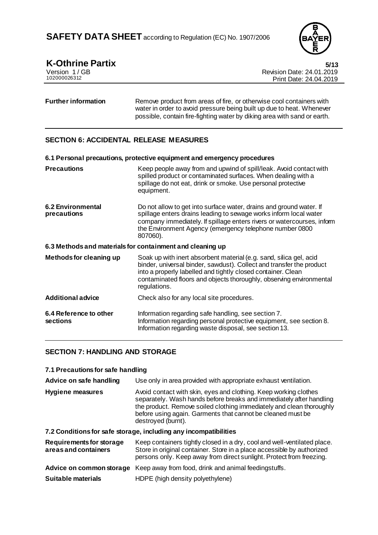

# **K-Othrine Partix 5/13**

| Version 1/GB |  |
|--------------|--|
| 102000026312 |  |

Revision Date: 24.01.2019 Print Date: 24.04.2019

#### **Further information** Remove product from areas of fire, or otherwise cool containers with water in order to avoid pressure being built up due to heat. Whenever possible, contain fire-fighting water by diking area with sand or earth.

# **SECTION 6: ACCIDENTAL RELEASE MEASURES**

|                                                           | 6.1 Personal precautions, protective equipment and emergency procedures                                                                                                                                                                                                                           |
|-----------------------------------------------------------|---------------------------------------------------------------------------------------------------------------------------------------------------------------------------------------------------------------------------------------------------------------------------------------------------|
| <b>Precautions</b>                                        | Keep people away from and upwind of spill/leak. Avoid contact with<br>spilled product or contaminated surfaces. When dealing with a<br>spillage do not eat, drink or smoke. Use personal protective<br>equipment.                                                                                 |
| <b>6.2 Environmental</b><br>precautions                   | Do not allow to get into surface water, drains and ground water. If<br>spillage enters drains leading to sewage works inform local water<br>company immediately. If spillage enters rivers or watercourses, inform<br>the Environment Agency (emergency telephone number 0800<br>807060).         |
| 6.3 Methods and materials for containment and cleaning up |                                                                                                                                                                                                                                                                                                   |
| Methods for cleaning up                                   | Soak up with inert absorbent material (e.g. sand, silica gel, acid<br>binder, universal binder, sawdust). Collect and transfer the product<br>into a properly labelled and tightly closed container. Clean<br>contaminated floors and objects thoroughly, observing environmental<br>regulations. |
| <b>Additional advice</b>                                  | Check also for any local site procedures.                                                                                                                                                                                                                                                         |
| 6.4 Reference to other<br>sections                        | Information regarding safe handling, see section 7.<br>Information regarding personal protective equipment, see section 8.<br>Information regarding waste disposal, see section 13.                                                                                                               |

### **SECTION 7: HANDLING AND STORAGE**

| 7.1 Precautions for safe handling |  |
|-----------------------------------|--|
|-----------------------------------|--|

| Advice on safe handling                          | Use only in area provided with appropriate exhaust ventilation.                                                                                                                                                                                                                                      |
|--------------------------------------------------|------------------------------------------------------------------------------------------------------------------------------------------------------------------------------------------------------------------------------------------------------------------------------------------------------|
| <b>Hygiene measures</b>                          | Avoid contact with skin, eyes and clothing. Keep working clothes<br>separately. Wash hands before breaks and immediately after handling<br>the product. Remove soiled clothing immediately and clean thoroughly<br>before using again. Garments that cannot be cleaned must be<br>destroyed (burnt). |
|                                                  | 7.2 Conditions for safe storage, including any incompatibilities                                                                                                                                                                                                                                     |
| Requirements for storage<br>areas and containers | Keep containers tightly closed in a dry, cool and well-ventilated place.<br>Store in original container. Store in a place accessible by authorized<br>persons only. Keep away from direct sunlight. Protect from freezing.                                                                           |

| Advice on common storage Keep away from food, drink and animal feedingstuffs. |  |  |  |
|-------------------------------------------------------------------------------|--|--|--|

| Suitable materials | HDPE (high density polyethylene) |
|--------------------|----------------------------------|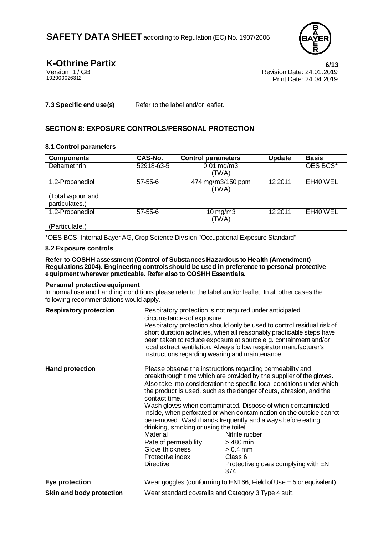

**K-Othrine Partix** 6/13<br>
Version 1/GB<br> **Kevision Date: 24.01.2019** Version 1/GB<br>102000026312<br>Print Date: 24.04.2019 Print Date: 24.04.2019

**7.3 Specific end use(s)** Refer to the label and/or leaflet.

## **SECTION 8: EXPOSURE CONTROLS/PERSONAL PROTECTION**

### **8.1 Control parameters**

| <b>Components</b>                   | <b>CAS-No.</b> | <b>Control parameters</b>        | <b>Update</b> | <b>Basis</b> |
|-------------------------------------|----------------|----------------------------------|---------------|--------------|
| Deltamethrin                        | 52918-63-5     | $0.01 \,\mathrm{mg/m3}$<br>(TWA) |               | OES BCS*     |
| 1,2-Propanediol                     | $57 - 55 - 6$  | 474 mg/m3/150 ppm<br>(TWA)       | 12 2011       | EH40 WEL     |
| (Total vapour and<br>particulates.) |                |                                  |               |              |
| 1,2-Propanediol                     | $57 - 55 - 6$  | $10 \,\mathrm{mg/m}$<br>(TWA)    | 12 2011       | EH40 WEL     |
| (Particulate.)                      |                |                                  |               |              |

\*OES BCS: Internal Bayer AG, Crop Science Division "Occupational Exposure Standard"

### **8.2 Exposure controls**

#### **Refer to COSHH assessment (Control of Substances Hazardous to Health (Amendment) Regulations 2004). Engineering controls should be used in preference to personal protective equipment wherever practicable. Refer also to COSHH Essentials.**

#### **Personal protective equipment**

In normal use and handling conditions please refer to the label and/or leaflet. In all other cases the following recommendations would apply.

| <b>Respiratory protection</b> | circumstances of exposure.                                                                                                                             | Respiratory protection is not required under anticipated<br>Respiratory protection should only be used to control residual risk of<br>short duration activities, when all reasonably practicable steps have<br>been taken to reduce exposure at source e.g. containment and/or<br>local extract ventilation. Always follow respirator manufacturer's<br>instructions regarding wearing and maintenance.                                                                                                                                                                                       |
|-------------------------------|--------------------------------------------------------------------------------------------------------------------------------------------------------|-----------------------------------------------------------------------------------------------------------------------------------------------------------------------------------------------------------------------------------------------------------------------------------------------------------------------------------------------------------------------------------------------------------------------------------------------------------------------------------------------------------------------------------------------------------------------------------------------|
| <b>Hand protection</b>        | contact time.<br>drinking, smoking or using the toilet.<br>Material<br>Rate of permeability<br>Glove thickness<br>Protective index<br><b>Directive</b> | Please observe the instructions regarding permeability and<br>breakthrough time which are provided by the supplier of the gloves.<br>Also take into consideration the specific local conditions under which<br>the product is used, such as the danger of cuts, abrasion, and the<br>Wash gloves when contaminated. Dispose of when contaminated<br>inside, when perforated or when contamination on the outside cannot<br>be removed. Wash hands frequently and always before eating,<br>Nitrile rubber<br>> 480 min<br>$> 0.4$ mm<br>Class 6<br>Protective gloves complying with EN<br>374. |
| Eye protection                |                                                                                                                                                        | Wear goggles (conforming to EN166, Field of Use $=$ 5 or equivalent).                                                                                                                                                                                                                                                                                                                                                                                                                                                                                                                         |
| Skin and body protection      |                                                                                                                                                        | Wear standard coveralls and Category 3 Type 4 suit.                                                                                                                                                                                                                                                                                                                                                                                                                                                                                                                                           |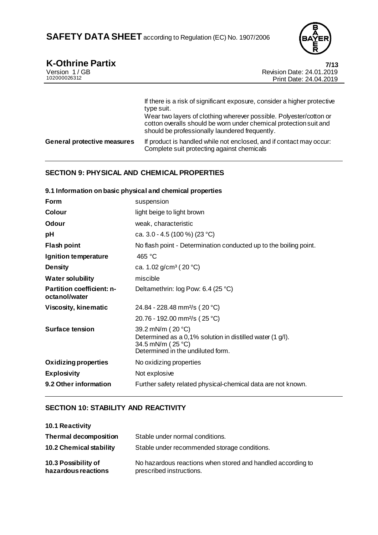

# **K-Othrine Partix 7/13**

| Version 1/GB<br>102000026312       | <b>Revision Date: 24.01.2019</b><br>Print Date: 24.04.2019                                                                                                                                                                                                                          |
|------------------------------------|-------------------------------------------------------------------------------------------------------------------------------------------------------------------------------------------------------------------------------------------------------------------------------------|
|                                    | If there is a risk of significant exposure, consider a higher protective<br>type suit.<br>Wear two layers of clothing wherever possible. Polyester/cotton or<br>cotton overalls should be worn under chemical protection suit and<br>should be professionally laundered frequently. |
| <b>General protective measures</b> | If product is handled while not enclosed, and if contact may occur:<br>Complete suit protecting against chemicals                                                                                                                                                                   |

# **SECTION 9: PHYSICAL AND CHEMICAL PROPERTIES**

|                                                   | 9.1 Information on basic physical and chemical properties                                                                                |
|---------------------------------------------------|------------------------------------------------------------------------------------------------------------------------------------------|
| Form                                              | suspension                                                                                                                               |
| Colour                                            | light beige to light brown                                                                                                               |
| Odour                                             | weak, characteristic                                                                                                                     |
| pH                                                | ca. 3.0 - 4.5 (100 %) (23 °C)                                                                                                            |
| <b>Flash point</b>                                | No flash point - Determination conducted up to the boiling point.                                                                        |
| Ignition temperature                              | 465 °C                                                                                                                                   |
| <b>Density</b>                                    | ca. 1.02 $g/cm^3$ (20 °C)                                                                                                                |
| <b>Water solubility</b>                           | miscible                                                                                                                                 |
| <b>Partition coefficient: n-</b><br>octanol/water | Deltamethrin: log Pow: 6.4 (25 °C)                                                                                                       |
| <b>Viscosity, kinematic</b>                       | 24.84 - 228.48 mm <sup>2</sup> /s (20 °C)                                                                                                |
|                                                   | 20.76 - 192.00 mm <sup>2</sup> /s (25 °C)                                                                                                |
| Surface tension                                   | 39.2 mN/m (20 °C)<br>Determined as a 0,1% solution in distilled water (1 g/l).<br>34.5 mN/m (25 °C)<br>Determined in the undiluted form. |
| <b>Oxidizing properties</b>                       | No oxidizing properties                                                                                                                  |
| <b>Explosivity</b>                                | Not explosive                                                                                                                            |
| 9.2 Other information                             | Further safety related physical-chemical data are not known.                                                                             |

# **SECTION 10: STABILITY AND REACTIVITY**

| <b>10.1 Reactivity</b>                     |                                                                                         |
|--------------------------------------------|-----------------------------------------------------------------------------------------|
| <b>Thermal decomposition</b>               | Stable under normal conditions.                                                         |
| <b>10.2 Chemical stability</b>             | Stable under recommended storage conditions.                                            |
| 10.3 Possibility of<br>hazardous reactions | No hazardous reactions when stored and handled according to<br>prescribed instructions. |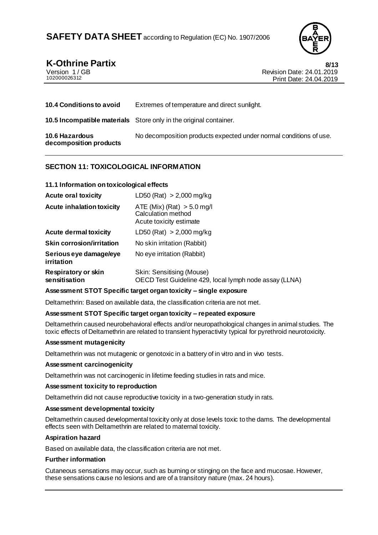

# **K-Othrine Partix** 8/13

| Version 1/GB |  |
|--------------|--|
| 102000026312 |  |

Revision Date: 24.01.2019 Print Date: 24.04.2019

| <b>10.4 Conditions to avoid</b>          | Extremes of temperature and direct sunlight.                             |
|------------------------------------------|--------------------------------------------------------------------------|
|                                          | <b>10.5 Incompatible materials</b> Store only in the original container. |
| 10.6 Hazardous<br>decomposition products | No decomposition products expected under normal conditions of use.       |

## **SECTION 11: TOXICOLOGICAL INFORMATION**

### **11.1 Information on toxicological effects**

| <b>Acute oral toxicity</b>           | LD50 (Rat) $> 2,000$ mg/kg                                                          |
|--------------------------------------|-------------------------------------------------------------------------------------|
| <b>Acute inhalation toxicity</b>     | ATE (Mix) (Rat) $> 5.0$ mg/l<br>Calculation method<br>Acute toxicity estimate       |
| <b>Acute dermal toxicity</b>         | LD50 (Rat) $> 2,000$ mg/kg                                                          |
| <b>Skin corrosion/irritation</b>     | No skin irritation (Rabbit)                                                         |
| Serious eye damage/eye<br>irritation | No eye irritation (Rabbit)                                                          |
| Respiratory or skin<br>sensitisation | Skin: Sensitising (Mouse)<br>OECD Test Guideline 429, local lymph node assay (LLNA) |

#### **Assessment STOT Specific target organ toxicity – single exposure**

Deltamethrin: Based on available data, the classification criteria are not met.

#### **Assessment STOT Specific target organ toxicity – repeated exposure**

Deltamethrin caused neurobehavioral effects and/or neuropathological changes in animal studies. The toxic effects of Deltamethrin are related to transient hyperactivity typical for pyrethroid neurotoxicity.

#### **Assessment mutagenicity**

Deltamethrin was not mutagenic or genotoxic in a battery of in vitro and in vivo tests.

#### **Assessment carcinogenicity**

Deltamethrin was not carcinogenic in lifetime feeding studies in rats and mice.

#### **Assessment toxicity to reproduction**

Deltamethrin did not cause reproductive toxicity in a two-generation study in rats.

#### **Assessment developmental toxicity**

Deltamethrin caused developmental toxicity only at dose levels toxic to the dams. The developmental effects seen with Deltamethrin are related to maternal toxicity.

#### **Aspiration hazard**

Based on available data, the classification criteria are not met.

#### **Further information**

Cutaneous sensations may occur, such as burning or stinging on the face and mucosae. However, these sensations cause no lesions and are of a transitory nature (max. 24 hours).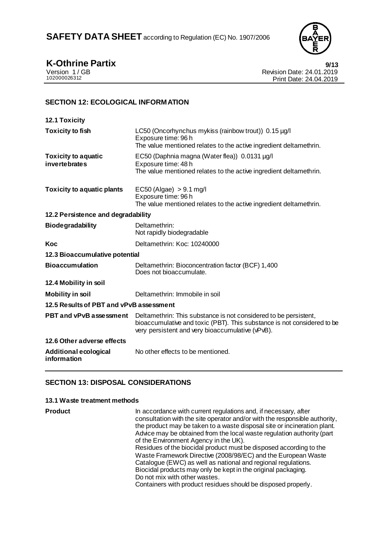

**K-Othrine Partix** 9/13<br>
Version 1/GB<br>
Revision Date: 24.01.2019 Version 1/GB Revision Date: 24.01.2019<br>102000026312 Print Date: 24.04.2019 Print Date: 24.04.2019

# **SECTION 12: ECOLOGICAL INFORMATION**

| <b>12.1 Toxicity</b>                               |                                                                                                                                                                                                 |
|----------------------------------------------------|-------------------------------------------------------------------------------------------------------------------------------------------------------------------------------------------------|
| <b>Toxicity to fish</b>                            | LC50 (Oncorhynchus mykiss (rainbow trout)) 0.15 µg/l<br>Exposure time: 96 h<br>The value mentioned relates to the active ingredient deltamethrin.                                               |
| <b>Toxicity to aquatic</b><br><i>invertebrates</i> | EC50 (Daphnia magna (Water flea)) 0.0131 µg/l<br>Exposure time: 48 h<br>The value mentioned relates to the active ingredient deltamethrin.                                                      |
| <b>Toxicity to aquatic plants</b>                  | $EC50$ (Algae) $> 9.1$ mg/l<br>Exposure time: 96 h<br>The value mentioned relates to the active ingredient deltamethrin.                                                                        |
| 12.2 Persistence and degradability                 |                                                                                                                                                                                                 |
| <b>Biodegradability</b>                            | Deltamethrin:<br>Not rapidly biodegradable                                                                                                                                                      |
| Koc                                                | Deltamethrin: Koc: 10240000                                                                                                                                                                     |
| 12.3 Bioaccumulative potential                     |                                                                                                                                                                                                 |
| <b>Bioaccumulation</b>                             | Deltamethrin: Bioconcentration factor (BCF) 1,400<br>Does not bioaccumulate.                                                                                                                    |
| 12.4 Mobility in soil                              |                                                                                                                                                                                                 |
| <b>Mobility in soil</b>                            | Deltamethrin: Immobile in soil                                                                                                                                                                  |
| 12.5 Results of PBT and vPvB assessment            |                                                                                                                                                                                                 |
| <b>PBT and vPvB assessment</b>                     | Deltamethrin: This substance is not considered to be persistent,<br>bioaccumulative and toxic (PBT). This substance is not considered to be<br>very persistent and very bioaccumulative (vPvB). |
| 12.6 Other adverse effects                         |                                                                                                                                                                                                 |
| <b>Additional ecological</b><br>information        | No other effects to be mentioned.                                                                                                                                                               |

# **SECTION 13: DISPOSAL CONSIDERATIONS**

### **13.1 Waste treatment methods**

| <b>Product</b> | In accordance with current regulations and, if necessary, after<br>consultation with the site operator and/or with the responsible authority,<br>the product may be taken to a waste disposal site or incineration plant.<br>Advice may be obtained from the local waste regulation authority (part<br>of the Environment Agency in the UK).<br>Residues of the biocidal product must be disposed according to the<br>Waste Framework Directive (2008/98/EC) and the European Waste<br>Catalogue (EWC) as well as national and regional regulations.<br>Biocidal products may only be kept in the original packaging.<br>Do not mix with other wastes. |
|----------------|--------------------------------------------------------------------------------------------------------------------------------------------------------------------------------------------------------------------------------------------------------------------------------------------------------------------------------------------------------------------------------------------------------------------------------------------------------------------------------------------------------------------------------------------------------------------------------------------------------------------------------------------------------|
|                | Containers with product residues should be disposed properly.                                                                                                                                                                                                                                                                                                                                                                                                                                                                                                                                                                                          |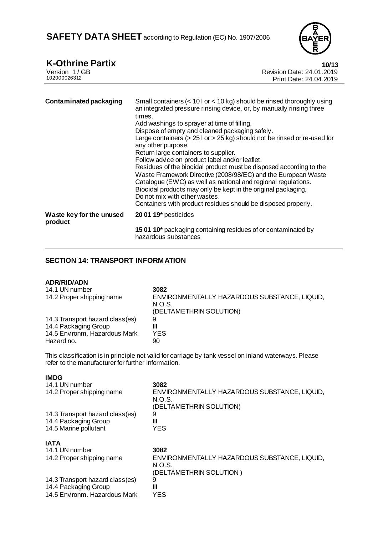

| <b>K-Othrine Partix</b><br>Version 1/GB<br>102000026312 | 10/13<br>Revision Date: 24.01.2019<br>Print Date: 24.04.2019                                                                                                                                                                                                                                                                                                                                                                                                                                                                                                                                                                                                                                                                                                                                                                          |
|---------------------------------------------------------|---------------------------------------------------------------------------------------------------------------------------------------------------------------------------------------------------------------------------------------------------------------------------------------------------------------------------------------------------------------------------------------------------------------------------------------------------------------------------------------------------------------------------------------------------------------------------------------------------------------------------------------------------------------------------------------------------------------------------------------------------------------------------------------------------------------------------------------|
|                                                         |                                                                                                                                                                                                                                                                                                                                                                                                                                                                                                                                                                                                                                                                                                                                                                                                                                       |
| <b>Contaminated packaging</b>                           | Small containers (< 10 l or < 10 kg) should be rinsed thoroughly using<br>an integrated pressure rinsing device, or, by manually rinsing three<br>times.<br>Add washings to sprayer at time of filling.<br>Dispose of empty and cleaned packaging safely.<br>Large containers ( $> 25$ l or $> 25$ kg) should not be rinsed or re-used for<br>any other purpose.<br>Return large containers to supplier.<br>Follow advice on product label and/or leaflet.<br>Residues of the biocidal product must be disposed according to the<br>Waste Framework Directive (2008/98/EC) and the European Waste<br>Catalogue (EWC) as well as national and regional regulations.<br>Biocidal products may only be kept in the original packaging.<br>Do not mix with other wastes.<br>Containers with product residues should be disposed properly. |
| Waste key for the unused<br>product                     | 20 01 19* pesticides                                                                                                                                                                                                                                                                                                                                                                                                                                                                                                                                                                                                                                                                                                                                                                                                                  |
|                                                         | 15 01 10* packaging containing residues of or contaminated by<br>hazardous substances                                                                                                                                                                                                                                                                                                                                                                                                                                                                                                                                                                                                                                                                                                                                                 |

# **SECTION 14: TRANSPORT INFORMATION**

#### **ADR/RID/ADN**

| 14.1 UN number                  | 3082                                                   |
|---------------------------------|--------------------------------------------------------|
| 14.2 Proper shipping name       | ENVIRONMENTALLY HAZARDOUS SUBSTANCE, LIQUID,<br>N.O.S. |
|                                 | (DELTAMETHRIN SOLUTION)                                |
| 14.3 Transport hazard class(es) | 9                                                      |
| 14.4 Packaging Group            | Ш                                                      |
| 14.5 Environm. Hazardous Mark   | YES                                                    |
| Hazard no.                      | 90                                                     |

This classification is in principle not valid for carriage by tank vessel on inland waterways. Please refer to the manufacturer for further information.

| ۰.<br>I<br>M.<br>v |  |
|--------------------|--|
|--------------------|--|

| 14.1 UN number<br>14.2 Proper shipping name | 3082<br>ENVIRONMENTALLY HAZARDOUS SUBSTANCE, LIQUID,<br>N.O.S.<br>(DELTAMETHRIN SOLUTION) |
|---------------------------------------------|-------------------------------------------------------------------------------------------|
| 14.3 Transport hazard class(es)             | 9                                                                                         |
| 14.4 Packaging Group                        | Ш                                                                                         |
| 14.5 Marine pollutant                       | <b>YES</b>                                                                                |
| <b>IATA</b>                                 |                                                                                           |
| 14.1 UN number                              | 3082                                                                                      |
| 14.2 Proper shipping name                   | ENVIRONMENTALLY HAZARDOUS SUBSTANCE, LIQUID,<br>N.O.S.<br>(DELTAMETHRIN SOLUTION)         |
| 14.3 Transport hazard class(es)             | 9                                                                                         |
| 14.4 Packaging Group                        | Ш                                                                                         |
| 14.5 Environm. Hazardous Mark               | <b>YES</b>                                                                                |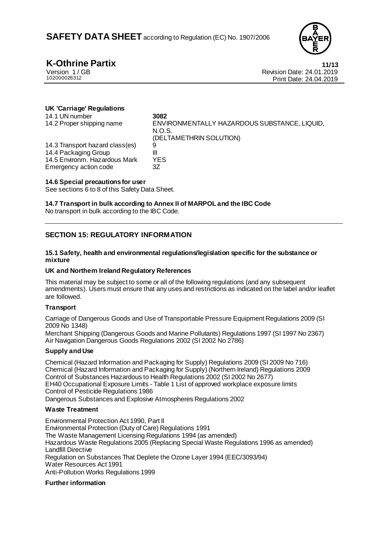

**K-Othrine Partix** 11/13<br>
Version 1/GB Revision Date: 24.01.2019 Version 1/GB Revision Date: 24.01.2019<br>102000026312 Print Date: 24.04.2019 Print Date: 24.04.2019

### **UK 'Carriage' Regulations**

| 14.1 UN number<br>14.2 Proper shipping name | 3082<br>ENVIRONMENTALLY HAZARDOUS SUBSTANCE, LIQUID,<br>N.O.S.<br>(DELTAMETHRIN SOLUTION) |
|---------------------------------------------|-------------------------------------------------------------------------------------------|
| 14.3 Transport hazard class(es)             | 9                                                                                         |
| 14.4 Packaging Group                        | Ш                                                                                         |
| 14.5 Environm. Hazardous Mark               | YES                                                                                       |
| Emergency action code                       | 3Ζ                                                                                        |

#### **14.6 Special precautions for user**

See sections 6 to 8 of this Safety Data Sheet.

### **14.7 Transport in bulk according to Annex II of MARPOL and the IBC Code**

No transport in bulk according to the IBC Code.

# **SECTION 15: REGULATORY INFORMATION**

#### **15.1 Safety, health and environmental regulations/legislation specific for the substance or mixture**

#### **UK and Northern Ireland Regulatory References**

This material may be subject to some or all of the following regulations (and any subsequent amendments). Users must ensure that any uses and restrictions as indicated on the label and/or leaflet are followed.

#### **Transport**

Carriage of Dangerous Goods and Use of Transportable Pressure Equipment Regulations 2009 (SI 2009 No 1348)

Merchant Shipping (Dangerous Goods and Marine Pollutants) Regulations 1997 (SI 1997 No 2367) Air Navigation Dangerous Goods Regulations 2002 (SI 2002 No 2786)

### **Supply and Use**

Chemical (Hazard Information and Packaging for Supply) Regulations 2009 (SI 2009 No 716) Chemical (Hazard Information and Packaging for Supply) (Northern Ireland) Regulations 2009 Control of Substances Hazardous to Health Regulations 2002 (SI 2002 No 2677) EH40 Occupational Exposure Limits - Table 1 List of approved workplace exposure limits Control of Pesticide Regulations 1986 Dangerous Substances and Explosive Atmospheres Regulations 2002

#### **Waste Treatment**

Environmental Protection Act 1990, Part II Environmental Protection (Duty of Care) Regulations 1991 The Waste Management Licensing Regulations 1994 (as amended) Hazardous Waste Regulations 2005 (Replacing Special Waste Regulations 1996 as amended) Landfill Directive Regulation on Substances That Deplete the Ozone Layer 1994 (EEC/3093/94) Water Resources Act 1991 Anti-Pollution Works Regulations 1999

#### **Further information**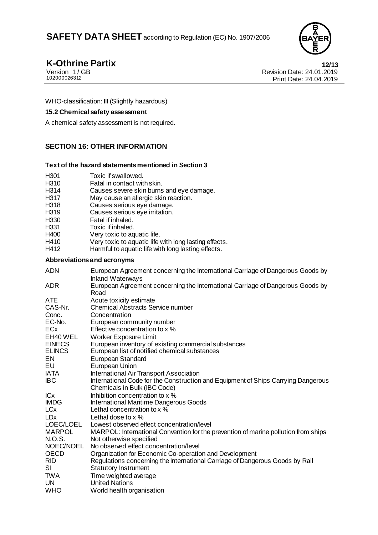

**K-Othrine Partix** 12/13<br>
Version 1/GB 12019 Version 1/GB<br>10200026312<br>Print Date: 24.01.2019<br>Print Date: 24.04.2019 Print Date: 24.04.2019

WHO-classification: III (Slightly hazardous)

### **15.2 Chemical safety assessment**

A chemical safety assessment is not required.

# **SECTION 16: OTHER INFORMATION**

### **Text of the hazard statements mentioned in Section 3**

- 
- H301 Toxic if swallowed.<br>H310 Fatal in contact wit
- H310 Fatal in contact with skin.<br>H314 Causes severe skin burns Causes severe skin burns and eye damage.
- H317 May cause an allergic skin reaction.<br>H318 Causes serious eve damage.
- H318 Causes serious eye damage.<br>H319 Causes serious eve irritation.
- Causes serious eye irritation.
- H330 Fatal if inhaled.
- H331 Toxic if inhaled.
- H400 Very toxic to aquatic life.
- H410 Very toxic to aquatic life with long lasting effects.
- H412 Harmful to aquatic life with long lasting effects.

### **Abbreviations and acronyms**

| <b>ADN</b>            | European Agreement concerning the International Carriage of Dangerous Goods by<br><b>Inland Waterways</b>         |
|-----------------------|-------------------------------------------------------------------------------------------------------------------|
| <b>ADR</b>            | European Agreement concerning the International Carriage of Dangerous Goods by<br>Road                            |
| ATE                   | Acute toxicity estimate                                                                                           |
| CAS-Nr.               | <b>Chemical Abstracts Service number</b>                                                                          |
| Conc.                 | Concentration                                                                                                     |
| EC-No.                | European community number                                                                                         |
| <b>EC<sub>x</sub></b> | Effective concentration to x %                                                                                    |
| EH40 WEL              | <b>Worker Exposure Limit</b>                                                                                      |
| <b>EINECS</b>         | European inventory of existing commercial substances                                                              |
| <b>ELINCS</b>         | European list of notified chemical substances                                                                     |
| EN                    | <b>European Standard</b>                                                                                          |
| EU                    | European Union                                                                                                    |
| IATA                  | International Air Transport Association                                                                           |
| <b>IBC</b>            | International Code for the Construction and Equipment of Ships Carrying Dangerous<br>Chemicals in Bulk (IBC Code) |
| <b>ICx</b>            | Inhibition concentration to x %                                                                                   |
| <b>IMDG</b>           | <b>International Maritime Dangerous Goods</b>                                                                     |
| LCx                   | Lethal concentration to x %                                                                                       |
| <b>LD<sub>x</sub></b> | Lethal dose to x %                                                                                                |
| LOEC/LOEL             | Lowest observed effect concentration/level                                                                        |
| <b>MARPOL</b>         | MARPOL: International Convention for the prevention of marine pollution from ships                                |
| N.O.S.                | Not otherwise specified                                                                                           |
| NOEC/NOEL             | No observed effect concentration/level                                                                            |
| <b>OECD</b>           | Organization for Economic Co-operation and Development                                                            |
| <b>RID</b>            | Regulations concerning the International Carriage of Dangerous Goods by Rail                                      |
| <b>SI</b>             | <b>Statutory Instrument</b>                                                                                       |
| <b>TWA</b>            | Time weighted average                                                                                             |
| UN                    | <b>United Nations</b>                                                                                             |
| <b>WHO</b>            | World health organisation                                                                                         |